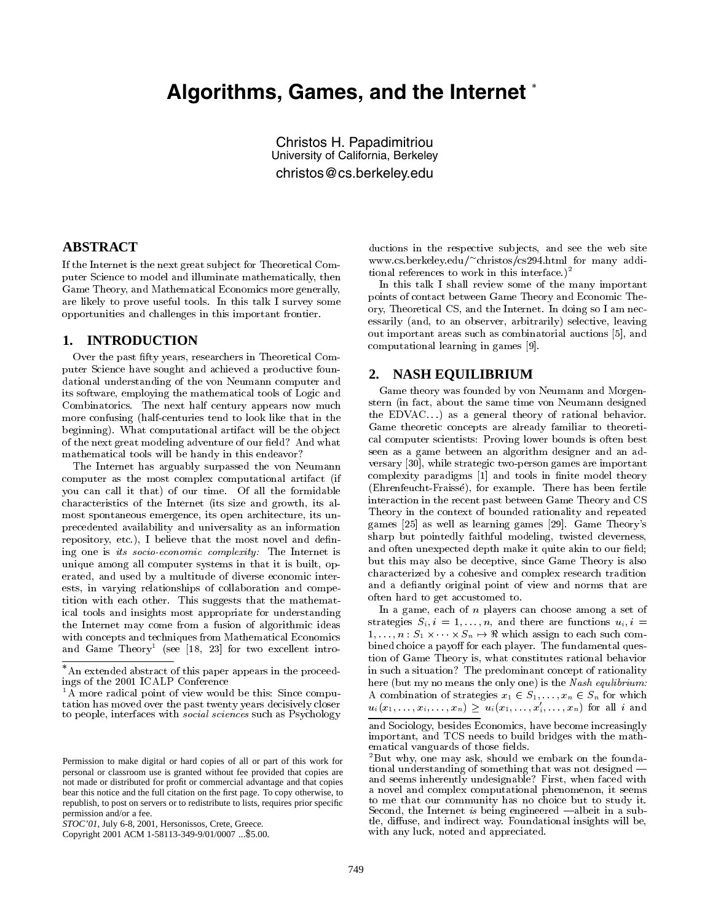# **Algorithms, Games, and the Internet**

Christos H. Papadimitriou University of California, Berkeley christos@cs.berkeley.edu

#### **ABSTRACT**

If the Internet is the next great sub ject for Theoretical Computer Science to model and illuminate mathematically, then Game Theory, and Mathematical Economics more generally, are likely to prove useful tools. In this talk I survey some opportunities and challenges in this important frontier.

#### **1. INTRODUCTION**

Over the past fty years, researchers in Theoretical Computer Science have sought and achieved a productive foundational understanding of the von Neumann computer and its software, employing the mathematical tools of Logic and Combinatorics. The next half century appears now much more confusing (half-centuries tend to look like that in the beginning). What computational artifact will be the ob ject of the next great modeling adventure of our field? And what mathematical tools will be handy in this endeavor?

The Internet has arguably surpassed the von Neumann computer as the most complex computational artifact (if you can call it that) of our time. Of all the formidable characteristics of the Internet (its size and growth, its almost spontaneous emergence, its open architecture, its unprecedented availability and universality as an information repository, etc.), I believe that the most novel and defining one is its socio-economic complexity: The Internet is unique among all computer systems in that it is built, operated, and used by a multitude of diverse economic interests, in varying relationships of collaboration and competition with each other. This suggests that the mathematical tools and insights most appropriate for understanding the Internet may come from a fusion of algorithmic ideas with concepts and techniques from Mathematical Economics and Game Theory" (see [18, 23] for two excellent intro-

ductions in the respective subjects, and see the web site www.cs.berkeley.edu/ christos/cs294.html for many additional references to work in this interface.)<sup>2</sup>

In this talk I shall review some of the many important points of contact between Game Theory and Economic Theory, Theoretical CS, and the Internet. In doing so I am necessarily (and, to an observer, arbitrarily) selective, leaving out important areas such as combinatorial auctions [5], and computational learning in games [9].

## **2. NASH EQUILIBRIUM**

Game theory was founded by von Neumann and Morgenstern (in fact, about the same time von Neumann designed the EDVAC $\dots$ ) as a general theory of rational behavior. Game theoretic concepts are already familiar to theoretical computer scientists: Proving lower bounds is often best seen as a game between an algorithm designer and an ad versary [30], while strategic two-person games are important complexity paradigms [1] and tools in finite model theory (Ehrenfeucht-Fraisse), for example. There has been fertile interaction in the recent past between Game Theory and CS Theory in the context of bounded rationality and repeated games [25] as well as learning games [29]. Game Theory's sharp but pointedly faithful modeling, twisted cleverness, and often unexpected depth make it quite akin to our field; but this may also be deceptive, since Game Theory is also characterized by a cohesive and complex research tradition and a defiantly original point of view and norms that are often hard to get accustomed to.

In a game, each of  $n$  players can choose among a set of strategies  $S_i, i = 1, \ldots, n$ , and there are functions  $u_i, i =$ 1;:::;n : S1 -- Sn 7! < which assign to each such combined choice a payoff for each player. The fundamental question of Game Theory is, what constitutes rational behavior in such a situation? The predominant concept of rationality here (but my no means the only one) is the Nash equilibrium: A combination of strategies  $x_1 \in S_1, \ldots, x_n \in S_n$  for which  $u_i(x_1,\ldots,x_i,\ldots,x_n) \geq u_i(x_1,\ldots,x_i^{\prime},\ldots,x_n)$  for all i and

An extended abstract of this paper appears in the proceedings of the 2001 ICALP Conference

<sup>&</sup>lt;sup>1</sup>A more radical point of view would be this: Since computation has moved over the past twenty years decisively closer to people, interfaces with *social sciences* such as Psychology

Permission to make digital or hard copies of all or part of this work for personal or classroom use is granted without fee provided that copies are not made or distributed for profit or commercial advantage and that copies bear this notice and the full citation on the first page. To copy otherwise, to republish, to post on servers or to redistribute to lists, requires prior specific permission and/or a fee.

*STOC'01,* July 6-8, 2001, Hersonissos, Crete, Greece.

Copyright 2001 ACM 1-58113-349-9/01/0007 ...\$5.00.

and Sociology, besides Economics, have become increasingly important, and TCS needs to build bridges with the mathematical vanguards of those fields.

<sup>&</sup>lt;sup>2</sup>But why, one may ask, should we embark on the foundational understanding of something that was not designed and seems inherently undesignable? First, when faced with a novel and complex computational phenomenon, it seems to me that our community has no choice but to study it. Second, the Internet is being engineered  $\text{-albeit in a sub-}$ tle, diffuse, and indirect way. Foundational insights will be, with any luck, noted and appreciated.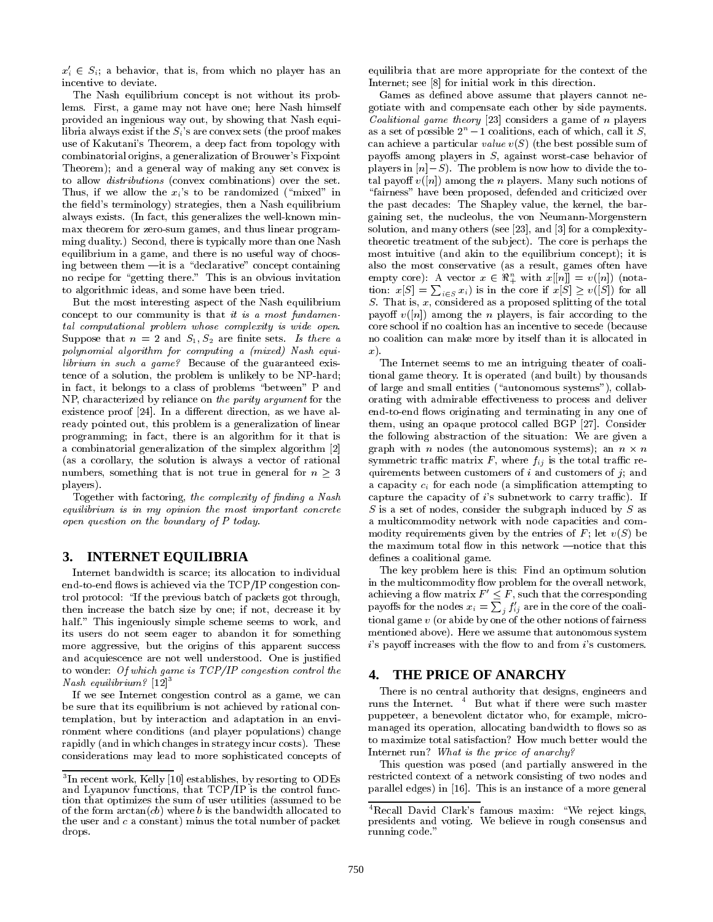$x_i' \in S_i$ ; a behavior, that is, from which no player has an incentive to deviate.

The Nash equilibrium concept is not without its problems. First, a game may not have one; here Nash himself provided an ingenious way out, by showing that Nash equilibria always exist if the  $S_i$ 's are convex sets (the proof makes use of Kakutani's Theorem, a deep fact from topology with combinatorial origins, a generalization of Brouwer's Fixpoint Theorem); and a general way of making any set convex is to allow distributions (convex combinations) over the set. Thus, if we allow the  $x_i$ 's to be randomized ("mixed" in the field's terminology) strategies, then a Nash equilibrium always exists. (In fact, this generalizes the well-known minmax theorem for zero-sum games, and thus linear programming duality.) Second, there is typically more than one Nash equilibrium in a game, and there is no useful way of choosing between them  $\text{--}$ it is a "declarative" concept containing no recipe for "getting there." This is an obvious invitation to algorithmic ideas, and some have been tried.

But the most interesting aspect of the Nash equilibrium concept to our community is that it is a most fundamental computational problem whose complexity is wide open. Suppose that  $n = 2$  and  $S_1, S_2$  are finite sets. Is there a polynomial algorithm for computing a (mixed) Nash equilibrium in such a game? Because of the guaranteed existence of a solution, the problem is unlikely to be NP-hard; in fact, it belongs to a class of problems \between" P and NP, characterized by reliance on the parity argument for the existence proof [24]. In a different direction, as we have already pointed out, this problem is a generalization of linear programming; in fact, there is an algorithm for it that is a combinatorial generalization of the simplex algorithm [2] (as a corollary, the solution is always a vector of rational numbers, something that is not true in general for  $n \geq 3$ players).

Together with factoring, the complexity of finding a Nash equilibrium is in my opinion the most important concrete open question on the boundary of P today.

### **3. INTERNET EQUILIBRIA**

Internet bandwidth is scarce; its allocation to individual end-to-end flows is achieved via the TCP/IP congestion control protocol: \If the previous batch of packets got through, then increase the batch size by one; if not, decrease it by half." This ingeniously simple scheme seems to work, and its users do not seem eager to abandon it for something more aggressive, but the origins of this apparent success and acquiescence are not well understood. One is justied to wonder: Of which game is  $TCP/IP$  congestion control the  $\bf{4.}$ Nash equilibrium?  $[12]$ <sup>3</sup>

If we see Internet congestion control as a game, we can be sure that its equilibrium is not achieved by rational contemplation, but by interaction and adaptation in an envi ronment where conditions (and player populations) change rapidly (and in which changes in strategy incur costs). These considerations may lead to more sophisticated concepts of equilibria that are more appropriate for the context of the Internet; see [8] for initial work in this direction.

Games as defined above assume that players cannot negotiate with and compensate each other by side payments. Coalitional game theory [23] considers a game of n players as a set of possible  $2^n - 1$  coalitions, each of which, call it S, can achieve a particular value  $v(S)$  (the best possible sum of payoffs among players in  $S$ , against worst-case behavior of players in  $[n]-S$ . The problem is now how to divide the total payoff  $v([n])$  among the *n* players. Many such notions of "fairness" have been proposed, defended and criticized over the past decades: The Shapley value, the kernel, the bargaining set, the nucleolus, the von Neumann-Morgenstern solution, and many others (see [23], and [3] for a complexitytheoretic treatment of the sub ject). The core is perhaps the most intuitive (and akin to the equilibrium concept); it is also the most conservative (as a result, games often have empty core): A vector  $x \in \mathbb{R}_+^n$  with  $x[[n]] = v([n])$  (notation:  $x[S] = \sum_{i \in S} x_i$  is in the core if  $x[S] \geq v([S])$  for all  $S$ . That is,  $x$ , considered as a proposed splitting of the total payoff  $v([n])$  among the *n* players, is fair according to the core school if no coaltion has an incentive to secede (because no coalition can make more by itself than it is allocated in x).

The Internet seems to me an intriguing theater of coalitional game theory. It is operated (and built) by thousands of large and small entities ("autonomous systems"), collaborating with admirable effectiveness to process and deliver end-to-end flows originating and terminating in any one of them, using an opaque protocol called BGP [27]. Consider the following abstraction of the situation: We are given a  $\alpha$  , and the automous system is not all the autonomous systems ( ) and it is not all the automous systems of  $\alpha$ symmetric traffic matrix  $F$ , where  $f_{ij}$  is the total traffic requirements between customers of  $i$  and customers of  $j$ ; and a capacity  $c_i$  for each node (a simplification attempting to capture the capacity of  $i$ 's subnetwork to carry traffic). If S is a set of nodes, consider the subgraph induced by S as a multicommodity network with node capacities and commodity requirements given by the entries of F; let  $v(S)$  be the maximum total flow in this network –notice that this defines a coalitional game.

The key problem here is this: Find an optimum solution in the multicommodity flow problem for the overall network, achieving a flow matrix  $F \leq F$ , such that the corresponding<br>payoffs for the nodes  $x_i = \sum_i f'_{ij}$  are in the core of the coalitional game  $v$  (or abide by one of the other notions of fairness mentioned above). Here we assume that autonomous system  $i$ 's payoff increases with the flow to and from  $i$ 's customers.

#### **4. THE PRICE OF ANARCHY**

There is no central authority that designs, engineers and runs the Internet. <sup>4</sup> But what if there were such master puppeteer, a benevolent dictator who, for example, micromanaged its operation, allocating bandwidth to flows so as to maximize total satisfaction? How much better would the Internet run? What is the price of anarchy?

This question was posed (and partially answered in the restricted context of a network consisting of two nodes and parallel edges) in [16]. This is an instance of a more general

<sup>&</sup>lt;sup>-</sup> In recent work, Kelly [10] establishes, by resorting to ODEs  $\qquad$ and Lyapunov functions, that TCP/IP is the control function that optimizes the sum of user utilities (assumed to be of the form  $arctan(cb)$  where b is the bandwidth allocated to the user and <sup>c</sup> a constant) minus the total number of packet drops.

 $4$ Recall David Clark's famous maxim: "We reject kings, presidents and voting. We believe in rough consensus and running code."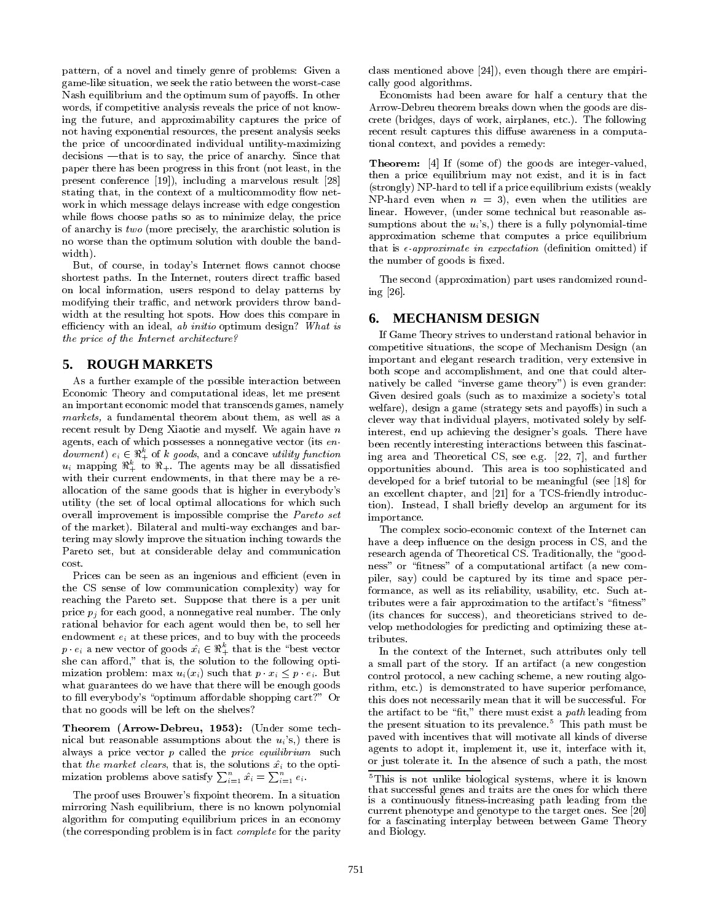pattern, of a novel and timely genre of problems: Given a game-like situation, we seek the ratio between the worst-case Nash equilibrium and the optimum sum of payoffs. In other words, if competitive analysis reveals the price of not knowing the future, and approximability captures the price of not having exponential resources, the present analysis seeks the price of uncoordinated individual untility-maximizing  $decisions$  —that is to say, the price of anarchy. Since that paper there has been progress in this front (not least, in the present conference [19]), including a marvelous result [28] stating that, in the context of a multicommodity flow network in which message delays increase with edge congestion while flows choose paths so as to minimize delay, the price of anarchy is two (more precisely, the ararchistic solution is no worse than the optimum solution with double the bandwidth).

But, of course, in today's Internet flows cannot choose shortest paths. In the Internet, routers direct traffic based on local information, users respond to delay patterns by modifying their traffic, and network providers throw bandwidth at the resulting hot spots. How does this compare in  $\epsilon$ . efficiency with an ideal, ab initio optimum design? What is the price of the Internet architecture?

#### **5. ROUGH MARKETS**

As a further example of the possible interaction between Economic Theory and computational ideas, let me present an important economic model that transcends games, namely markets, a fundamental theorem about them, as well as a recent result by Deng Xiaotie and myself. We again have  $n$ agents, each of which possesses a nonnegative vector (its en dowment)  $e_i \in \mathbb{R}_+^k$  of k goods, and a concave utility function  $u_i$  mapping  $\mathbb{R}^k_+$  to  $\mathbb{R}_+$ . The agents may be all dissatisfied with their current endowments, in that there may be a reallocation of the same goods that is higher in everybody's utility (the set of local optimal allocations for which such overall improvement is impossible comprise the Pareto set of the market). Bilateral and multi-way exchanges and bartering may slowly improve the situation inching towards the Pareto set, but at considerable delay and communication cost.

Prices can be seen as an ingenious and efficient (even in the CS sense of low communication complexity) way for reaching the Pareto set. Suppose that there is a per unit price  $p_i$  for each good, a nonnegative real number. The only rational behavior for each agent would then be, to sell her endowment  $e_i$  at these prices, and to buy with the proceeds  $p \cdot e_i$  a new vector of goods  $\hat{x_i} \in \mathbb{R}_+^k$  that is the "best vector" she can afford," that is, the solution to the following optimization problem: max  $u_i(x_i)$  such that  $p \cdot x_i \leq p \cdot e_i$ . But what guarantees do we have that there will be enough goods to fill everybody's "optimum affordable shopping cart?" Or that no goods will be left on the shelves?

Theorem (Arrow-Debreu, 1953): (Under some technical but reasonable assumptions about the  $u_i$ 's,) there is always a price vector  $p$  called the *price equilibrium* such that the market clears, that is, the solutions  $\hat{x_i}$  to the optimization problems above satisfy  $\sum_{i=1}^n \hat{x_i} = \sum_{i=1}^n e_i$ .

The proof uses Brouwer's fixpoint theorem. In a situation mirroring Nash equilibrium, there is no known polynomial algorithm for computing equilibrium prices in an economy (the corresponding problem is in fact complete for the parity class mentioned above [24]), even though there are empirically good algorithms.

Economists had been aware for half a century that the Arrow-Debreu theorem breaks down when the goods are discrete (bridges, days of work, airplanes, etc.). The following recent result captures this diffuse awareness in a computational context, and povides a remedy:

Theorem: [4] If (some of) the goods are integer-valued, then a price equilibrium may not exist, and it is in fact (strongly) NP-hard to tell if a price equilibrium exists (weakly NP-hard even when  $n = 3$ , even when the utilities are linear. However, (under some technical but reasonable assumptions about the  $u_i$ 's,) there is a fully polynomial-time approximation scheme that computes a price equilibrium that is  $\epsilon$ -approximate in expectation (definition omitted) if the number of goods is fixed.

The second (approximation) part uses randomized rounding [26].

#### **6. MECHANISM DESIGN**

If Game Theory strives to understand rational behavior in competitive situations, the scope of Mechanism Design (an important and elegant research tradition, very extensive in both scope and accomplishment, and one that could alternatively be called "inverse game theory") is even grander: Given desired goals (such as to maximize a society's total welfare), design a game (strategy sets and payoffs) in such a clever way that individual players, motivated solely by selfinterest, end up achieving the designer's goals. There have been recently interesting interactions between this fascinating area and Theoretical CS, see e.g. [22, 7], and further opportunities abound. This area is too sophisticated and developed for a brief tutorial to be meaningful (see [18] for an excellent chapter, and [21] for a TCS-friendly introduction). Instead, I shall briefly develop an argument for its importance.

The complex socio-economic context of the Internet can have a deep influence on the design process in CS, and the research agenda of Theoretical CS. Traditionally, the "goodness" or "fitness" of a computational artifact (a new compiler, say) could be captured by its time and space performance, as well as its reliability, usability, etc. Such attributes were a fair approximation to the artifact's "fitness" (its chances for success), and theoreticians strived to de velop methodologies for predicting and optimizing these attributes.

In the context of the Internet, such attributes only tell a small part of the story. If an artifact (a new congestion control protocol, a new caching scheme, a new routing algorithm, etc.) is demonstrated to have superior perfomance, this does not necessarily mean that it will be successful. For the artifact to be "fit," there must exist a path leading from the present situation to its prevalence.<sup>5</sup> This path must be paved with incentives that will motivate all kinds of diverse agents to adopt it, implement it, use it, interface with it, or just tolerate it. In the absence of such a path, the most

<sup>5</sup>This is not unlike biological systems, where it is known that successful genes and traits are the ones for which there is a continuously fitness-increasing path leading from the current phenotype and genotype to the target ones. See [20] for a fascinating interplay between between Game Theory and Biology.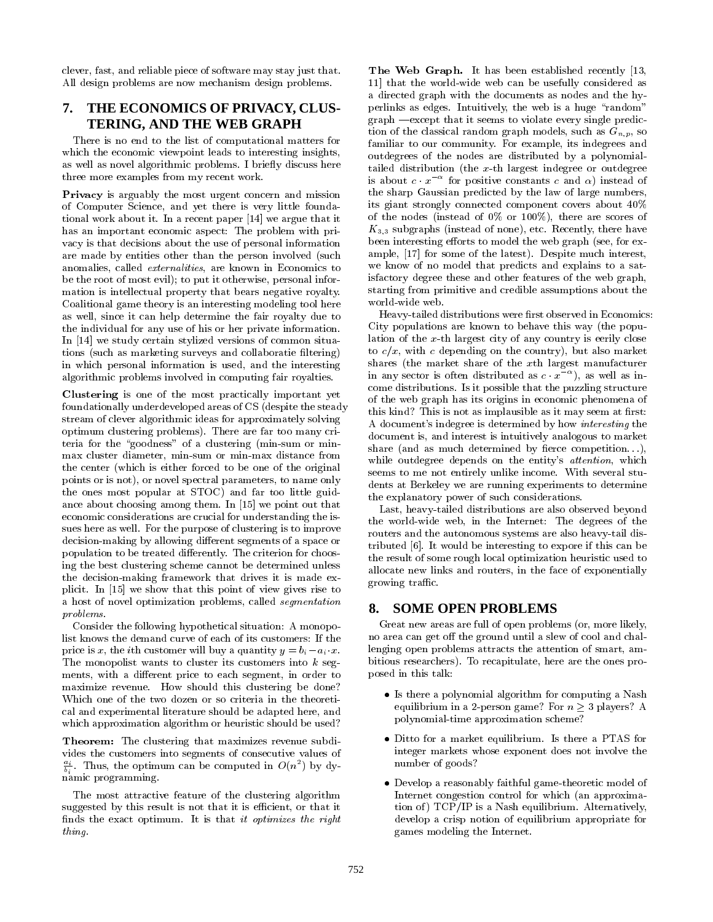clever, fast, and reliable piece of software may stay just that. All design problems are now mechanism design problems.

## **7. THE ECONOMICS OF PRIVACY, CLUS-TERING, AND THE WEB GRAPH**

There is no end to the list of computational matters for which the economic viewpoint leads to interesting insights, as well as novel algorithmic problems. I briefly discuss here three more examples from my recent work.

Privacy is arguably the most urgent concern and mission of Computer Science, and yet there is very little foundational work about it. In a recent paper [14] we argue that it has an important economic aspect: The problem with pri vacy is that decisions about the use of personal information are made by entities other than the person involved (such anomalies, called externalities, are known in Economics to be the root of most evil); to put it otherwise, personal information is intellectual property that bears negative royalty. Coalitional game theory is an interesting modeling tool here as well, since it can help determine the fair royalty due to the individual for any use of his or her private information. In [14] we study certain stylized versions of common situations (such as marketing surveys and collaboratie filtering) in which personal information is used, and the interesting algorithmic problems involved in computing fair royalties.

Clustering is one of the most practically important yet foundationally underdeveloped areas of CS (despite the steady stream of clever algorithmic ideas for approximately solving optimum clustering problems). There are far too many criteria for the "goodness" of a clustering (min-sum or minmax cluster diameter, min-sum or min-max distance from the center (which is either forced to be one of the original points or is not), or novel spectral parameters, to name only the ones most popular at STOC) and far too little guidance about choosing among them. In [15] we point out that economic considerations are crucial for understanding the issues here as well. For the purpose of clustering is to improve decision-making by allowing different segments of a space or population to be treated differently. The criterion for choosing the best clustering scheme cannot be determined unless the decision-making framework that drives it is made ex plicit. In [15] we show that this point of view gives rise to a host of novel optimization problems, called segmentation problems.

Consider the following hypothetical situation: A monopolist knows the demand curve of each of its customers: If the price is x, the *i*th customer will buy a quantity  $y = b_i - a_i \cdot x$ . The monopolist wants to cluster its customers into <sup>k</sup> seg ments, with a different price to each segment, in order to maximize revenue. How should this clustering be done? Which one of the two dozen or so criteria in the theoretical and experimental literature should be adapted here, and which approximation algorithm or heuristic should be used?

Theorem: The clustering that maximizes revenue subdivides the customers into segments of consecutive values of  $\ddot{\tau}$ . Thus, the optimum can be computed in  $O(n^2)$  by dybi namic programming.

The most attractive feature of the clustering algorithm suggested by this result is not that it is efficient, or that it finds the exact optimum. It is that it optimizes the right thing.

The Web Graph. It has been established recently [13, 11] that the world-wide web can be usefully considered as a directed graph with the documents as nodes and the hyperlinks as edges. Intuitively, the web is a huge "random"  $graph$  -except that it seems to violate every single prediction of the classical random graph models, such as  $G_{n,p}$ , so familiar to our community. For example, its indegrees and outdegrees of the nodes are distributed by a polynomialtailed distribution (the x-th largest indegree or outdegree is about  $c \cdot x$  – for positive constants  $c$  and  $\alpha$ ) instead of the sharp Gaussian predicted by the law of large numbers, its giant strongly connected component covers about 40% of the nodes (instead of 0% or 100%), there are scores of  $K_{3,3}$  subgraphs (instead of none), etc. Recently, there have been interesting efforts to model the web graph (see, for example, [17] for some of the latest). Despite much interest, we know of no model that predicts and explains to a satisfactory degree these and other features of the web graph, starting from primitive and credible assumptions about the world-wide web.

Heavy-tailed distributions were first observed in Economics: City populations are known to behave this way (the population of the x-th largest city of any country is eerily close to  $c/x$ , with c depending on the country), but also market shares (the market share of the xth largest manufacturer in any sector is often distributed as  $c \cdot x$  ), as well as income distributions. Is it possible that the puzzling structure of the web graph has its origins in economic phenomena of this kind? This is not as implausible as it may seem at first: A document's indegree is determined by how interesting the document is, and interest is intuitively analogous to market share (and as much determined by fierce competition...), while outdegree depends on the entity's attention, which seems to me not entirely unlike income. With several students at Berkeley we are running experiments to determine the explanatory power of such considerations.

Last, heavy-tailed distributions are also observed beyond the world-wide web, in the Internet: The degrees of the routers and the autonomous systems are also heavy-tail distributed [6]. It would be interesting to expore if this can be the result of some rough local optimization heuristic used to allocate new links and routers, in the face of exponentially growing traffic.

#### **8. SOME OPEN PROBLEMS**

Great new areas are full of open problems (or, more likely, no area can get off the ground until a slew of cool and challenging open problems attracts the attention of smart, ambitious researchers). To recapitulate, here are the ones proposed in this talk:

- Is there a polynomial algorithm for computing a Nash equilibrium in a 2-person game? For  $n > 3$  players? A polynomial-time approximation scheme?
- Ditto for a market equilibrium. Is there a PTAS for integer markets whose exponent does not involve the number of goods?
- Develop a reasonably faithful game-theoretic model of Internet congestion control for which (an approximation of) TCP/IP is a Nash equilibrium. Alternatively, develop a crisp notion of equilibrium appropriate for games modeling the Internet.